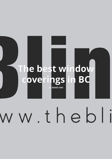# **The best window coverings in BC** BY **DAVID CHO**

# ww.thebli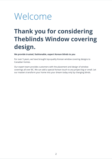## Welcome

### **Thank you for considering Theblinds Window covering design.**

**We provide trusted, fashionable, expert Korean blinds to you**

For over 5 years, we have brought top-quality Korean window covering designs to Canadian homes.

Our expert team provides customers with the placement and design of window coverings all over BC. We can add a special Korean touch to any project big or small. Let our masters transform your home into your dream today only by changing blinds.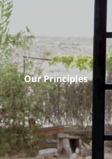# **Our Principles**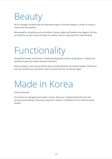# Beauty

All our designs combine the the important aspect of Korean design in order to create a new home atmosphere.

Renowned for simplicity and minimalism, Korean styles are flawless and elegant. We aim to bring this to your house through our earthy colours and powerful craftsmanship.

# Functionality

Along with beauty, all Northern Theblinds-designed products bring about a robust and functional space by expert window treatment

Every window in your house will be clean and decluttered, yet wholly liveable. Perfect for any size window, you will never have to choose function or beauty again.

### Made in Korea

Factory directed

Our blinds are designed and made in Korea. We have it delivered directly from the factory guaranteeing 10 business days from order to installation not to mention great quality.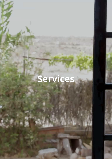# **Services**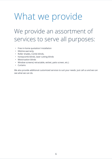## What we provide

### We provide an assortment of services to serve all purposes:

- Free in-home quotation/ installation
- lifetime warranty
- Roller shades, Combi blinds,
- honeycomb blinds, laser cutting blinds
- Motorization blinds
- Window screens( retractable, wicket, patio screen, etc.)
- Curtains

We also provide additional customized services to suit your needs. Just call us and we can see what we can do.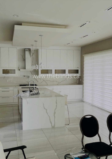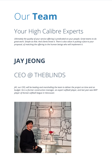# Our **Team**

### Your High Calibre Experts

Ultimately the quality of your service offering is predicated on your people. Great teams to do *great work. Simple as that. And clients know it. There is also value in putting a face to your proposal, of matching the offering to the human beings who will implement it.* 

### **JAY JEONG**

#### CEO @ THEBLINDS

*JAY, our CEO, will be leading and marshalling the team to deliver the project on time and on budget. He is a former construction manager, an expert softball player, and last year was MVP player of Korean softball league in Vancouver.*